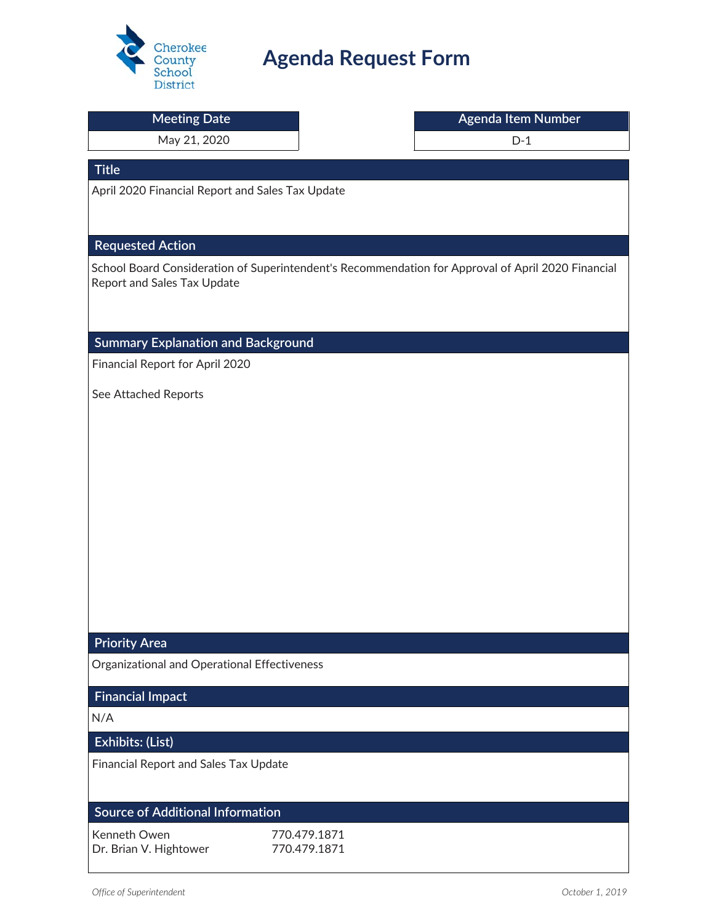

# **Agenda Request Form**

| <b>Meeting Date</b>                                                    | Agenda Item Number                                                                                 |
|------------------------------------------------------------------------|----------------------------------------------------------------------------------------------------|
| May 21, 2020                                                           | $D-1$                                                                                              |
| <b>Title</b>                                                           |                                                                                                    |
| April 2020 Financial Report and Sales Tax Update                       |                                                                                                    |
|                                                                        |                                                                                                    |
|                                                                        |                                                                                                    |
| <b>Requested Action</b>                                                |                                                                                                    |
| Report and Sales Tax Update                                            | School Board Consideration of Superintendent's Recommendation for Approval of April 2020 Financial |
|                                                                        |                                                                                                    |
|                                                                        |                                                                                                    |
| <b>Summary Explanation and Background</b>                              |                                                                                                    |
| Financial Report for April 2020                                        |                                                                                                    |
| See Attached Reports                                                   |                                                                                                    |
|                                                                        |                                                                                                    |
|                                                                        |                                                                                                    |
|                                                                        |                                                                                                    |
|                                                                        |                                                                                                    |
|                                                                        |                                                                                                    |
|                                                                        |                                                                                                    |
|                                                                        |                                                                                                    |
|                                                                        |                                                                                                    |
|                                                                        |                                                                                                    |
| <b>Priority Area</b>                                                   |                                                                                                    |
| Organizational and Operational Effectiveness                           |                                                                                                    |
|                                                                        |                                                                                                    |
| <b>Financial Impact</b>                                                |                                                                                                    |
| N/A                                                                    |                                                                                                    |
| Exhibits: (List)                                                       |                                                                                                    |
| Financial Report and Sales Tax Update                                  |                                                                                                    |
|                                                                        |                                                                                                    |
| <b>Source of Additional Information</b>                                |                                                                                                    |
| Kenneth Owen<br>770.479.1871<br>770.479.1871<br>Dr. Brian V. Hightower |                                                                                                    |
|                                                                        |                                                                                                    |
| Office of Superintendent                                               | October 1, 2019                                                                                    |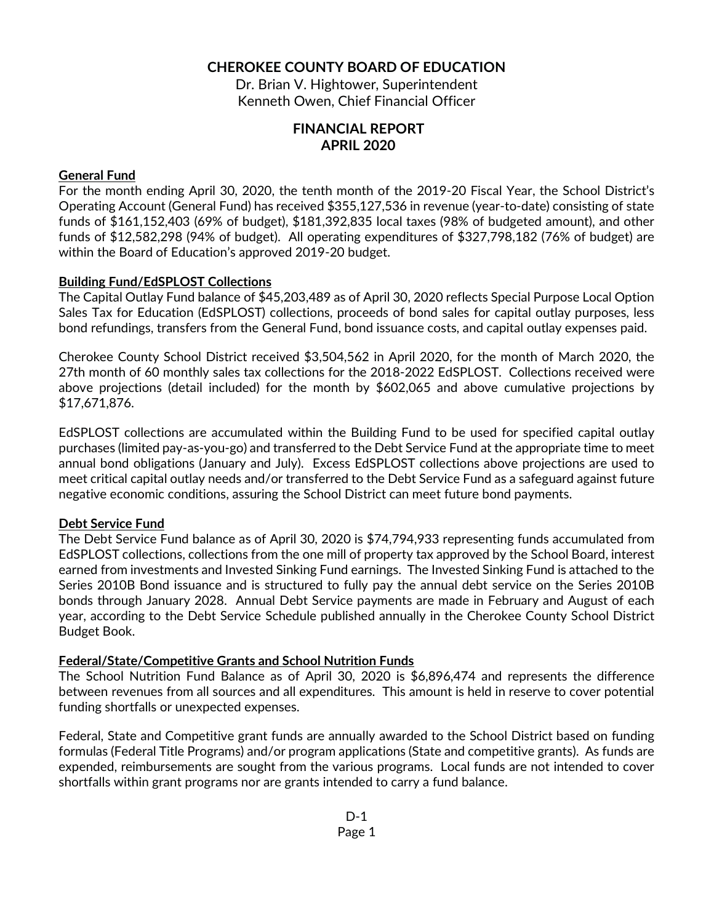#### CHEROKEE COUNTY BOARD OF EDUCATION

Dr. Brian V. Hightower, Superintendent Kenneth Owen, Chief Financial Officer

### FINANCIAL REPORT APRIL 2020

#### General Fund

For the month ending April 30, 2020, the tenth month of the 2019-20 Fiscal Year, the School District's Operating Account (General Fund) has received \$355,127,536 in revenue (year-to-date) consisting of state funds of \$161,152,403 (69% of budget), \$181,392,835 local taxes (98% of budgeted amount), and other funds of \$12,582,298 (94% of budget). All operating expenditures of \$327,798,182 (76% of budget) are within the Board of Education's approved 2019-20 budget.

#### Building Fund/EdSPLOST Collections

The Capital Outlay Fund balance of \$45,203,489 as of April 30, 2020 reflects Special Purpose Local Option Sales Tax for Education (EdSPLOST) collections, proceeds of bond sales for capital outlay purposes, less bond refundings, transfers from the General Fund, bond issuance costs, and capital outlay expenses paid.

Cherokee County School District received \$3,504,562 in April 2020, for the month of March 2020, the 27th month of 60 monthly sales tax collections for the 2018-2022 EdSPLOST. Collections received were above projections (detail included) for the month by \$602,065 and above cumulative projections by \$17,671,876.

EdSPLOST collections are accumulated within the Building Fund to be used for specified capital outlay purchases (limited pay-as-you-go) and transferred to the Debt Service Fund at the appropriate time to meet annual bond obligations (January and July). Excess EdSPLOST collections above projections are used to meet critical capital outlay needs and/or transferred to the Debt Service Fund as a safeguard against future negative economic conditions, assuring the School District can meet future bond payments.

#### Debt Service Fund

The Debt Service Fund balance as of April 30, 2020 is \$74,794,933 representing funds accumulated from EdSPLOST collections, collections from the one mill of property tax approved by the School Board, interest earned from investments and Invested Sinking Fund earnings. The Invested Sinking Fund is attached to the Series 2010B Bond issuance and is structured to fully pay the annual debt service on the Series 2010B bonds through January 2028. Annual Debt Service payments are made in February and August of each year, according to the Debt Service Schedule published annually in the Cherokee County School District Budget Book.

#### Federal/State/Competitive Grants and School Nutrition Funds

The School Nutrition Fund Balance as of April 30, 2020 is \$6,896,474 and represents the difference between revenues from all sources and all expenditures. This amount is held in reserve to cover potential funding shortfalls or unexpected expenses.

Federal, State and Competitive grant funds are annually awarded to the School District based on funding formulas (Federal Title Programs) and/or program applications (State and competitive grants). As funds are expended, reimbursements are sought from the various programs. Local funds are not intended to cover shortfalls within grant programs nor are grants intended to carry a fund balance.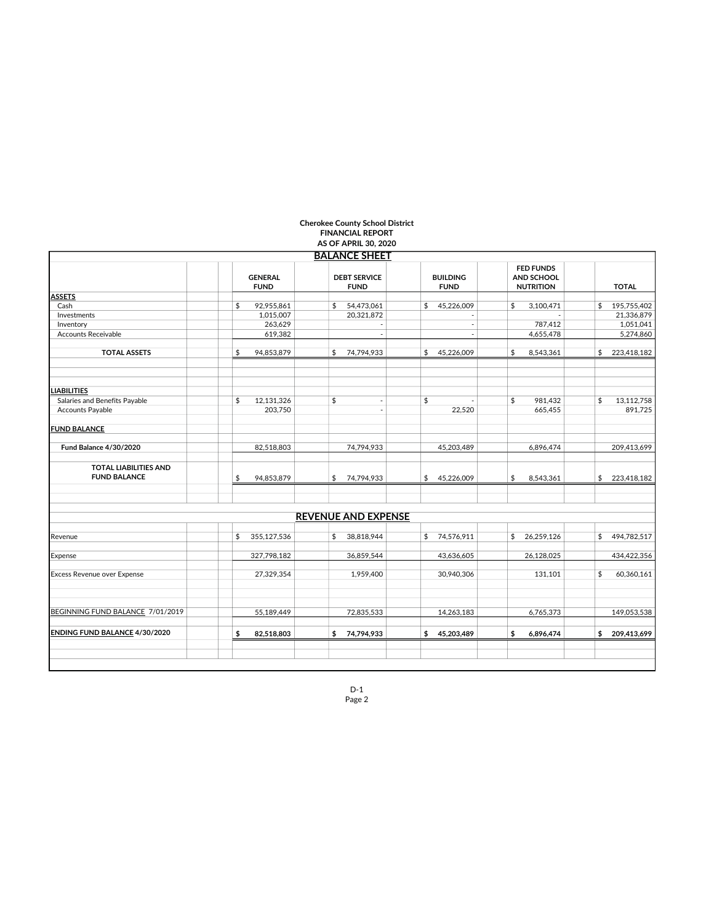|                                                     | <b>GENERAL</b><br><b>FUND</b> |             | <b>BALANCE SHEET</b><br><b>DEBT SERVICE</b><br><b>FUND</b> |                            | <b>BUILDING</b><br><b>FUND</b> |                          | <b>FED FUNDS</b><br><b>AND SCHOOL</b><br><b>NUTRITION</b> |            | <b>TOTAL</b>      |
|-----------------------------------------------------|-------------------------------|-------------|------------------------------------------------------------|----------------------------|--------------------------------|--------------------------|-----------------------------------------------------------|------------|-------------------|
| <b>ASSETS</b>                                       |                               |             |                                                            |                            |                                |                          |                                                           |            |                   |
| Cash                                                | \$                            | 92,955,861  | \$                                                         | 54,473,061                 | \$                             | 45,226,009               | \$                                                        | 3,100,471  | \$ 195,755,402    |
| Investments                                         |                               | 1,015,007   |                                                            | 20.321.872                 |                                | $\overline{a}$           |                                                           | - 1        | 21,336,879        |
| Inventory                                           |                               | 263,629     |                                                            |                            |                                |                          |                                                           | 787,412    | 1,051,041         |
| <b>Accounts Receivable</b>                          |                               | 619,382     |                                                            | $\overline{\phantom{a}}$   |                                | $\overline{\phantom{a}}$ |                                                           | 4,655,478  | 5,274,860         |
| <b>TOTAL ASSETS</b>                                 | \$                            | 94,853,879  | \$                                                         | 74,794,933                 | \$                             | 45,226,009               | \$                                                        | 8,543,361  | \$<br>223,418,182 |
| <b>IABILITIES</b>                                   |                               |             |                                                            |                            |                                |                          |                                                           |            |                   |
| Salaries and Benefits Payable                       | \$                            | 12,131,326  | \$                                                         |                            | \$                             |                          | \$                                                        | 981,432    | \$<br>13,112,758  |
| Accounts Payable                                    |                               | 203,750     |                                                            | $\sim$                     |                                | 22,520                   |                                                           | 665,455    | 891,725           |
| <b>FUND BALANCE</b>                                 |                               |             |                                                            |                            |                                |                          |                                                           |            |                   |
| <b>Fund Balance 4/30/2020</b>                       |                               | 82,518,803  |                                                            | 74,794,933                 |                                | 45,203,489               |                                                           | 6,896,474  | 209,413,699       |
| <b>TOTAL LIABILITIES AND</b><br><b>FUND BALANCE</b> | \$                            | 94,853,879  | \$                                                         | 74.794.933                 | \$                             | 45,226,009               | \$                                                        | 8,543,361  | \$<br>223,418,182 |
|                                                     |                               |             |                                                            | <b>REVENUE AND EXPENSE</b> |                                |                          |                                                           |            |                   |
| Revenue                                             | \$                            | 355,127,536 | \$                                                         | 38,818,944                 |                                | \$74,576,911             | \$                                                        | 26,259,126 | \$494,782,517     |
| Expense                                             |                               | 327,798,182 |                                                            | 36,859,544                 |                                | 43,636,605               |                                                           | 26,128,025 | 434,422,356       |
| Excess Revenue over Expense                         |                               | 27,329,354  |                                                            | 1,959,400                  |                                | 30,940,306               |                                                           | 131,101    | \$<br>60,360,161  |
| BEGINNING FUND BALANCE 7/01/2019                    |                               | 55,189,449  |                                                            | 72,835,533                 |                                | 14,263,183               |                                                           | 6,765,373  | 149,053,538       |
| ENDING FUND BALANCE 4/30/2020                       | \$                            | 82,518,803  | \$                                                         | 74,794,933                 | \$                             | 45,203,489               | \$                                                        | 6,896,474  | \$ 209,413,699    |

#### Cherokee County School District FINANCIAL REPORT

D-1 Page 2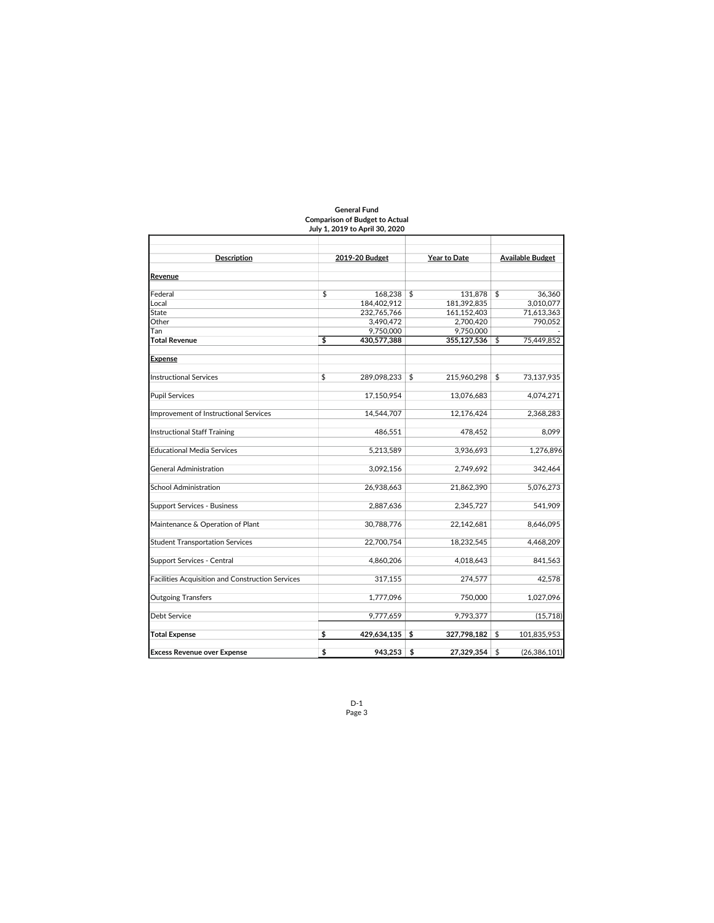|                                                  | JUIY 1, 2019 to April 30, 2020 |                   |                         |                |  |  |
|--------------------------------------------------|--------------------------------|-------------------|-------------------------|----------------|--|--|
| <b>Description</b>                               | 2019-20 Budget                 | Year to Date      | <b>Available Budget</b> |                |  |  |
|                                                  |                                |                   |                         |                |  |  |
| Revenue                                          |                                |                   |                         |                |  |  |
| Federal                                          | \$<br>168,238                  | \$<br>131,878     | \$                      | 36.360         |  |  |
| Local                                            | 184,402,912                    | 181,392,835       |                         | 3,010,077      |  |  |
| State                                            | 232,765,766                    | 161,152,403       |                         | 71,613,363     |  |  |
| Other                                            | 3,490,472                      | 2.700.420         |                         | 790.052        |  |  |
| Tan                                              | 9,750,000                      | 9,750,000         |                         |                |  |  |
| <b>Total Revenue</b>                             | \$<br>430,577,388              | 355.127.536       | \$                      | 75.449.852     |  |  |
| <b>Expense</b>                                   |                                |                   |                         |                |  |  |
| <b>Instructional Services</b>                    | \$<br>289,098,233              | \$<br>215,960,298 | \$                      | 73,137,935     |  |  |
| <b>Pupil Services</b>                            | 17.150.954                     | 13,076,683        |                         | 4,074,271      |  |  |
| Improvement of Instructional Services            | 14,544,707                     | 12,176,424        |                         | 2,368,283      |  |  |
| <b>Instructional Staff Training</b>              | 486,551                        | 478,452           |                         | 8.099          |  |  |
| <b>Educational Media Services</b>                | 5,213,589                      | 3,936,693         |                         | 1,276,896      |  |  |
| <b>General Administration</b>                    | 3,092,156                      | 2,749,692         |                         | 342,464        |  |  |
| <b>School Administration</b>                     | 26,938,663                     | 21,862,390        |                         | 5,076,273      |  |  |
| <b>Support Services - Business</b>               | 2,887,636                      | 2,345,727         |                         | 541,909        |  |  |
| Maintenance & Operation of Plant                 | 30,788,776                     | 22,142,681        |                         | 8,646,095      |  |  |
| <b>Student Transportation Services</b>           | 22,700,754                     | 18,232,545        |                         | 4,468,209      |  |  |
| Support Services - Central                       | 4,860,206                      | 4,018,643         |                         | 841,563        |  |  |
| Facilities Acquisition and Construction Services | 317,155                        | 274,577           |                         | 42,578         |  |  |
| <b>Outgoing Transfers</b>                        | 1,777,096                      | 750,000           |                         | 1,027,096      |  |  |
| Debt Service                                     | 9,777,659                      | 9,793,377         |                         | (15,718)       |  |  |
| <b>Total Expense</b>                             | \$<br>429,634,135              | \$<br>327,798,182 | \$                      | 101,835,953    |  |  |
| <b>Excess Revenue over Expense</b>               | \$<br>943,253                  | \$<br>27,329,354  | \$                      | (26, 386, 101) |  |  |

#### General Fund Comparison of Budget to Actual July 1, 2019 to April 30, 2020

D-1 Page 3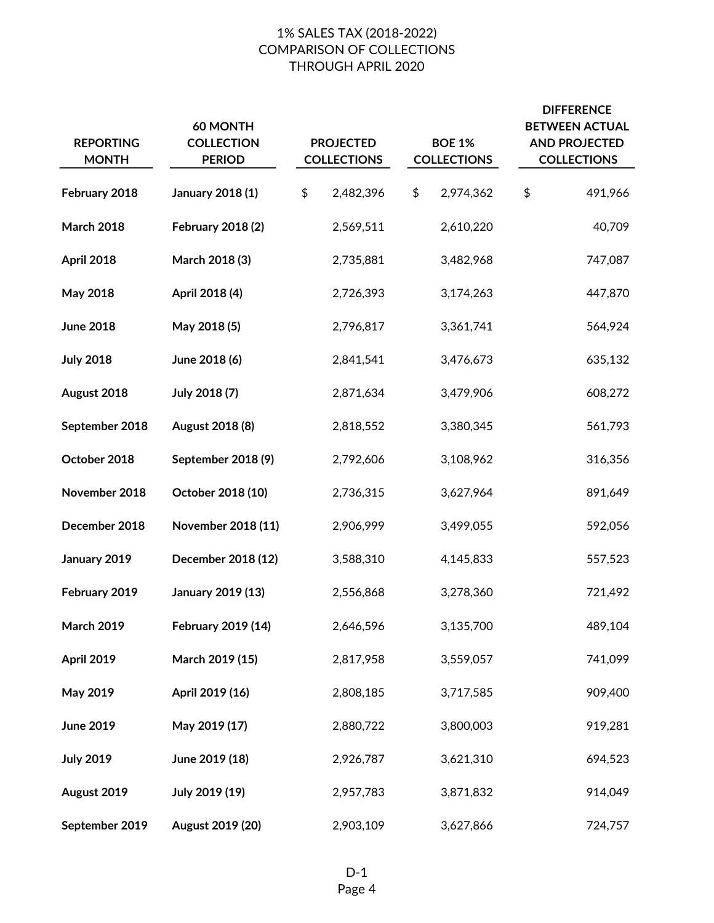# 1% SALES TAX (2018-2022) COMPARISON OF COLLECTIONS THROUGH APRIL 2020

| <b>REPORTING</b><br><b>MONTH</b> | 60 MONTH<br><b>COLLECTION</b><br><b>PERIOD</b> |    | <b>PROJECTED</b><br><b>COLLECTIONS</b> |  | <b>BOE 1%</b><br><b>COLLECTIONS</b> | <b>DIFFERENCE</b><br><b>BETWEEN ACTUAL</b><br><b>AND PROJECTED</b><br><b>COLLECTIONS</b> |         |  |
|----------------------------------|------------------------------------------------|----|----------------------------------------|--|-------------------------------------|------------------------------------------------------------------------------------------|---------|--|
| February 2018                    | <b>January 2018 (1)</b>                        | \$ | 2,482,396                              |  | 2,974,362                           | \$                                                                                       | 491,966 |  |
| <b>March 2018</b>                | <b>February 2018 (2)</b>                       |    | 2,569,511                              |  | 2,610,220                           |                                                                                          | 40,709  |  |
| April 2018                       | March 2018 (3)                                 |    | 2,735,881                              |  | 3,482,968                           |                                                                                          | 747,087 |  |
| May 2018                         | April 2018 (4)                                 |    | 2,726,393                              |  | 3,174,263                           |                                                                                          | 447,870 |  |
| <b>June 2018</b>                 | May 2018 (5)                                   |    | 2,796,817                              |  | 3,361,741                           |                                                                                          | 564,924 |  |
| <b>July 2018</b>                 | June 2018 (6)                                  |    | 2,841,541                              |  | 3,476,673                           |                                                                                          | 635,132 |  |
| August 2018                      | July 2018 (7)                                  |    | 2,871,634                              |  | 3,479,906                           |                                                                                          | 608,272 |  |
| September 2018                   | August 2018 (8)                                |    | 2,818,552                              |  | 3,380,345                           |                                                                                          | 561,793 |  |
| October 2018                     | September 2018 (9)                             |    | 2,792,606                              |  | 3,108,962                           |                                                                                          | 316,356 |  |
| November 2018                    | October 2018 (10)                              |    | 2,736,315                              |  | 3,627,964                           |                                                                                          | 891,649 |  |
| December 2018                    | November 2018 (11)                             |    | 2,906,999                              |  | 3,499,055                           |                                                                                          | 592,056 |  |
| January 2019                     | December 2018 (12)                             |    | 3,588,310                              |  | 4,145,833                           |                                                                                          | 557,523 |  |
| February 2019                    | January 2019 (13)                              |    | 2,556,868                              |  | 3,278,360                           |                                                                                          | 721,492 |  |
| March 2019                       | February 2019 (14)                             |    | 2,646,596                              |  | 3,135,700                           |                                                                                          | 489,104 |  |
| April 2019                       | March 2019 (15)                                |    | 2,817,958                              |  | 3,559,057                           |                                                                                          | 741,099 |  |
| May 2019                         | April 2019 (16)                                |    | 2,808,185                              |  | 3,717,585                           |                                                                                          | 909,400 |  |
| <b>June 2019</b>                 | May 2019 (17)                                  |    | 2,880,722                              |  | 3,800,003                           |                                                                                          | 919,281 |  |
| <b>July 2019</b>                 | June 2019 (18)                                 |    | 2,926,787                              |  | 3,621,310                           |                                                                                          | 694,523 |  |
| August 2019                      | July 2019 (19)                                 |    | 2,957,783                              |  | 3,871,832                           |                                                                                          | 914,049 |  |
| September 2019                   | August 2019 (20)                               |    | 2,903,109                              |  | 3,627,866                           |                                                                                          | 724,757 |  |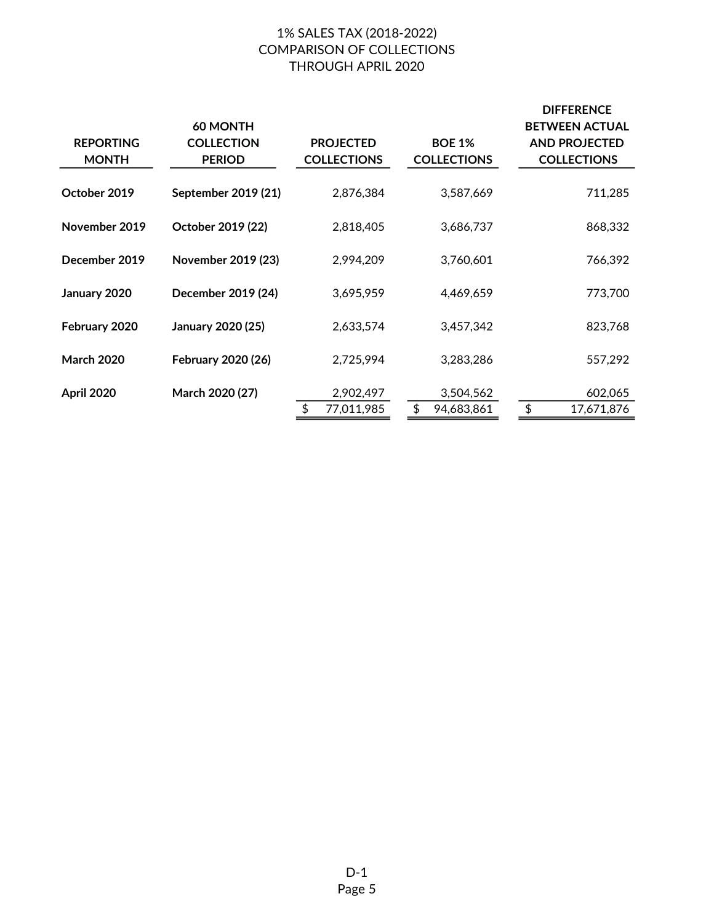# 1% SALES TAX (2018-2022) COMPARISON OF COLLECTIONS THROUGH APRIL 2020

|                                  | 60 MONTH                           |                                        |                                     | <b>DIFFERENCE</b><br><b>BETWEEN ACTUAL</b> |
|----------------------------------|------------------------------------|----------------------------------------|-------------------------------------|--------------------------------------------|
| <b>REPORTING</b><br><b>MONTH</b> | <b>COLLECTION</b><br><b>PERIOD</b> | <b>PROJECTED</b><br><b>COLLECTIONS</b> | <b>BOE 1%</b><br><b>COLLECTIONS</b> | <b>AND PROJECTED</b><br><b>COLLECTIONS</b> |
| October 2019                     | September 2019 (21)                | 2,876,384                              | 3,587,669                           | 711,285                                    |
| November 2019                    | October 2019 (22)                  | 2,818,405                              | 3,686,737                           | 868,332                                    |
| December 2019                    | November 2019 (23)                 | 2,994,209                              | 3,760,601                           | 766,392                                    |
| January 2020                     | December 2019 (24)                 | 3,695,959                              | 4.469.659                           | 773,700                                    |
| February 2020                    | January 2020 (25)                  | 2,633,574                              | 3,457,342                           | 823,768                                    |
| <b>March 2020</b>                | February 2020 (26)                 | 2,725,994                              | 3,283,286                           | 557,292                                    |
| April 2020                       | March 2020 (27)                    | 2,902,497                              | 3,504,562                           | 602,065                                    |
|                                  |                                    | 77,011,985                             | \$<br>94,683,861                    | \$<br>17,671,876                           |